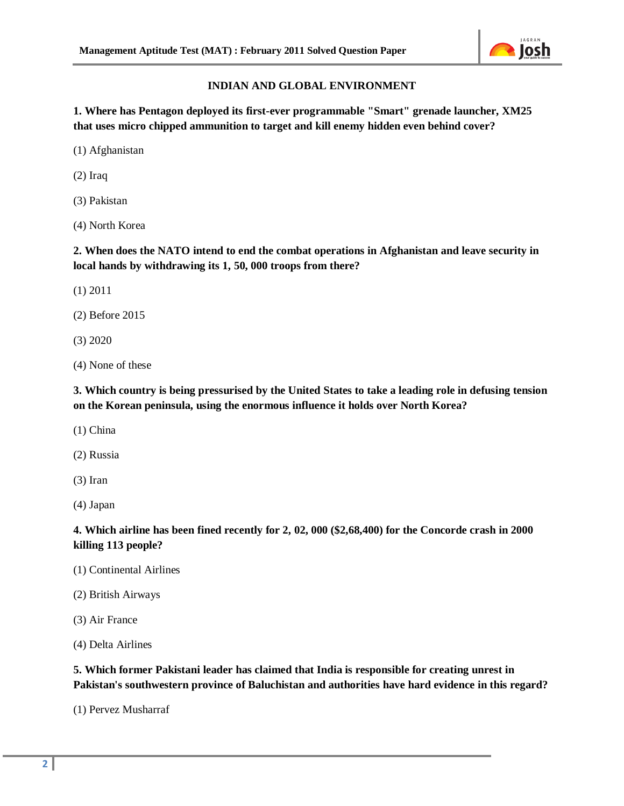

# **INDIAN AND GLOBAL ENVIRONMENT**

**1. Where has Pentagon deployed its first-ever programmable "Smart" grenade launcher, XM25 that uses micro chipped ammunition to target and kill enemy hidden even behind cover?** 

(1) Afghanistan

(2) Iraq

(3) Pakistan

(4) North Korea

**2. When does the NATO intend to end the combat operations in Afghanistan and leave security in local hands by withdrawing its 1, 50, 000 troops from there?** 

(1) 2011

(2) Before 2015

(3) 2020

(4) None of these

**3. Which country is being pressurised by the United States to take a leading role in defusing tension on the Korean peninsula, using the enormous influence it holds over North Korea?** 

(1) China

(2) Russia

(3) Iran

(4) Japan

**4. Which airline has been fined recently for 2, 02, 000 (\$2,68,400) for the Concorde crash in 2000 killing 113 people?** 

(1) Continental Airlines

(2) British Airways

(3) Air France

(4) Delta Airlines

**5. Which former Pakistani leader has claimed that India is responsible for creating unrest in Pakistan's southwestern province of Baluchistan and authorities have hard evidence in this regard?** 

(1) Pervez Musharraf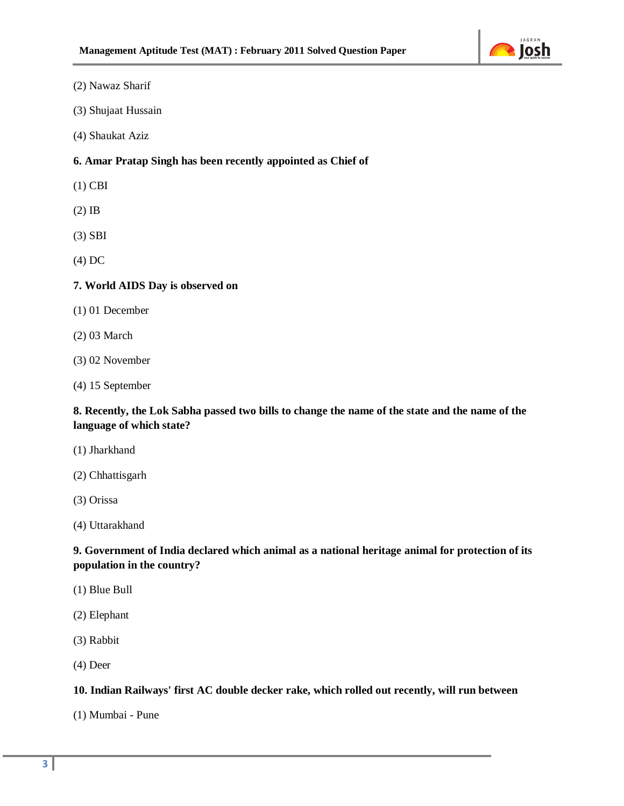

#### (2) Nawaz Sharif

- (3) Shujaat Hussain
- (4) Shaukat Aziz

## **6. Amar Pratap Singh has been recently appointed as Chief of**

- (1) CBI
- (2) IB
- (3) SBI
- (4) DC

## **7. World AIDS Day is observed on**

- (1) 01 December
- (2) 03 March
- (3) 02 November
- (4) 15 September

## **8. Recently, the Lok Sabha passed two bills to change the name of the state and the name of the language of which state?**

- (1) Jharkhand
- (2) Chhattisgarh
- (3) Orissa
- (4) Uttarakhand

# **9. Government of India declared which animal as a national heritage animal for protection of its population in the country?**

- (1) Blue Bull
- (2) Elephant
- (3) Rabbit
- (4) Deer

#### **10. Indian Railways' first AC double decker rake, which rolled out recently, will run between**

(1) Mumbai - Pune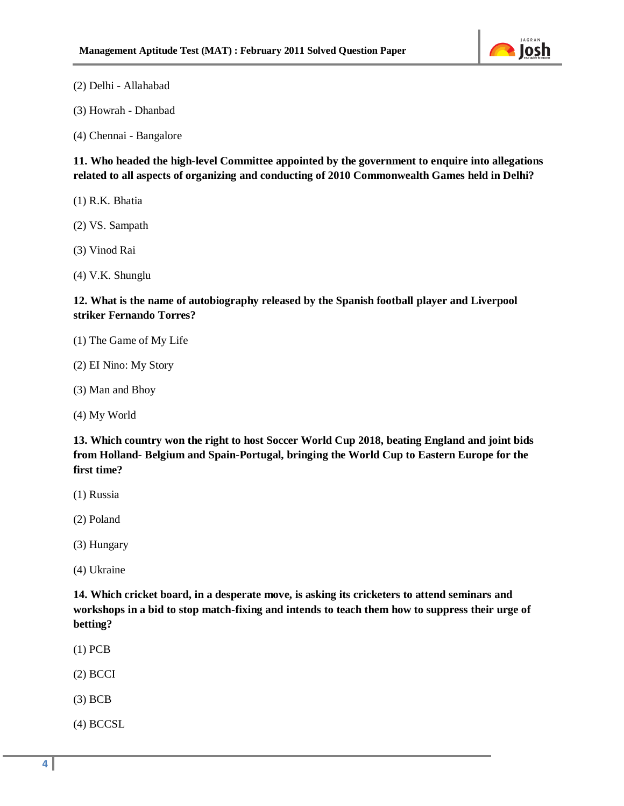

(2) Delhi - Allahabad

(3) Howrah - Dhanbad

(4) Chennai - Bangalore

**11. Who headed the high-level Committee appointed by the government to enquire into allegations related to all aspects of organizing and conducting of 2010 Commonwealth Games held in Delhi?** 

(1) R.K. Bhatia

(2) VS. Sampath

(3) Vinod Rai

(4) V.K. Shunglu

**12. What is the name of autobiography released by the Spanish football player and Liverpool striker Fernando Torres?** 

(1) The Game of My Life

(2) EI Nino: My Story

(3) Man and Bhoy

(4) My World

**13. Which country won the right to host Soccer World Cup 2018, beating England and joint bids from Holland- Belgium and Spain-Portugal, bringing the World Cup to Eastern Europe for the first time?** 

(1) Russia

(2) Poland

(3) Hungary

(4) Ukraine

**14. Which cricket board, in a desperate move, is asking its cricketers to attend seminars and workshops in a bid to stop match-fixing and intends to teach them how to suppress their urge of betting?** 

(1) PCB

(2) BCCI

(3) BCB

(4) BCCSL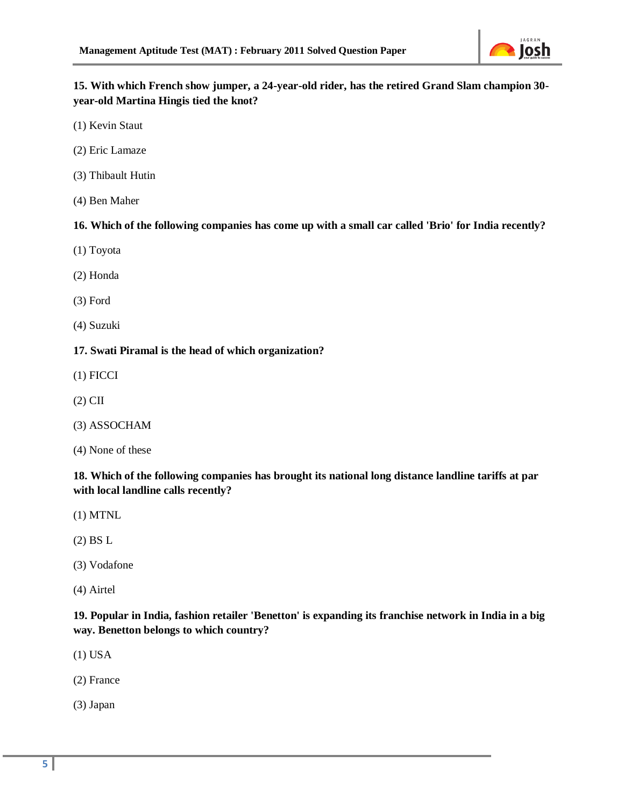

**15. With which French show jumper, a 24-year-old rider, has the retired Grand Slam champion 30 year-old Martina Hingis tied the knot?** 

(1) Kevin Staut

- (2) Eric Lamaze
- (3) Thibault Hutin
- (4) Ben Maher

**16. Which of the following companies has come up with a small car called 'Brio' for India recently?** 

- (1) Toyota
- (2) Honda
- (3) Ford
- (4) Suzuki

## **17. Swati Piramal is the head of which organization?**

- (1) FICCI
- (2) CII
- (3) ASSOCHAM
- (4) None of these

**18. Which of the following companies has brought its national long distance landline tariffs at par with local landline calls recently?** 

- (1) MTNL
- (2) BS L
- (3) Vodafone
- (4) Airtel

**19. Popular in India, fashion retailer 'Benetton' is expanding its franchise network in India in a big way. Benetton belongs to which country?** 

- (1) USA
- (2) France
- (3) Japan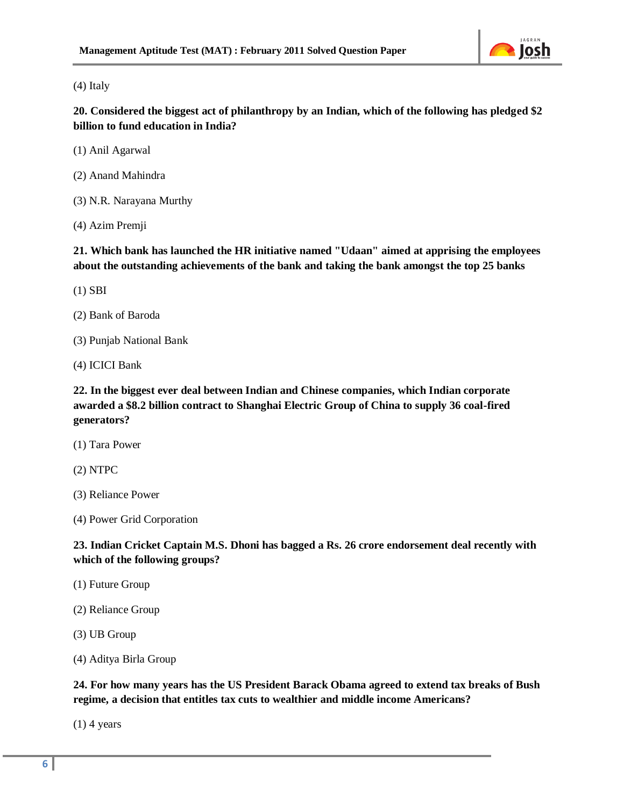

(4) Italy

**20. Considered the biggest act of philanthropy by an Indian, which of the following has pledged \$2 billion to fund education in India?** 

(1) Anil Agarwal

(2) Anand Mahindra

(3) N.R. Narayana Murthy

(4) Azim Premji

**21. Which bank has launched the HR initiative named "Udaan" aimed at apprising the employees about the outstanding achievements of the bank and taking the bank amongst the top 25 banks** 

(1) SBI

(2) Bank of Baroda

(3) Punjab National Bank

(4) ICICI Bank

**22. In the biggest ever deal between Indian and Chinese companies, which Indian corporate awarded a \$8.2 billion contract to Shanghai Electric Group of China to supply 36 coal-fired generators?** 

(1) Tara Power

(2) NTPC

(3) Reliance Power

(4) Power Grid Corporation

**23. Indian Cricket Captain M.S. Dhoni has bagged a Rs. 26 crore endorsement deal recently with which of the following groups?** 

(1) Future Group

(2) Reliance Group

(3) UB Group

(4) Aditya Birla Group

**24. For how many years has the US President Barack Obama agreed to extend tax breaks of Bush regime, a decision that entitles tax cuts to wealthier and middle income Americans?** 

 $(1)$  4 years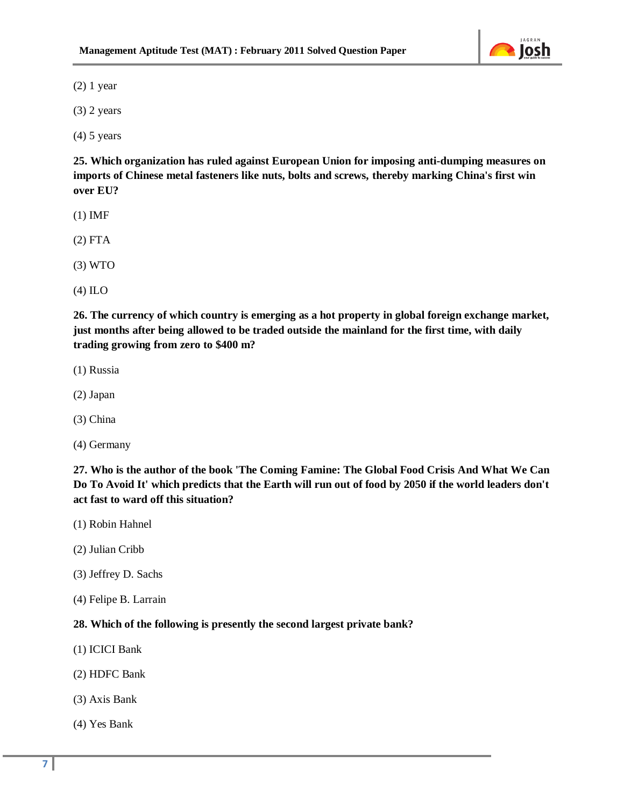

(2) 1 year

(3) 2 years

(4) 5 years

**25. Which organization has ruled against European Union for imposing anti-dumping measures on imports of Chinese metal fasteners like nuts, bolts and screws, thereby marking China's first win over EU?** 

- (1) IMF
- (2) FTA
- (3) WTO
- (4) ILO

**26. The currency of which country is emerging as a hot property in global foreign exchange market, just months after being allowed to be traded outside the mainland for the first time, with daily trading growing from zero to \$400 m?** 

- (1) Russia
- (2) Japan
- (3) China
- (4) Germany

**27. Who is the author of the book 'The Coming Famine: The Global Food Crisis And What We Can Do To Avoid It' which predicts that the Earth will run out of food by 2050 if the world leaders don't act fast to ward off this situation?**

- (1) Robin Hahnel
- (2) Julian Cribb
- (3) Jeffrey D. Sachs
- (4) Felipe B. Larrain

#### **28. Which of the following is presently the second largest private bank?**

- (1) ICICI Bank
- (2) HDFC Bank
- (3) Axis Bank
- (4) Yes Bank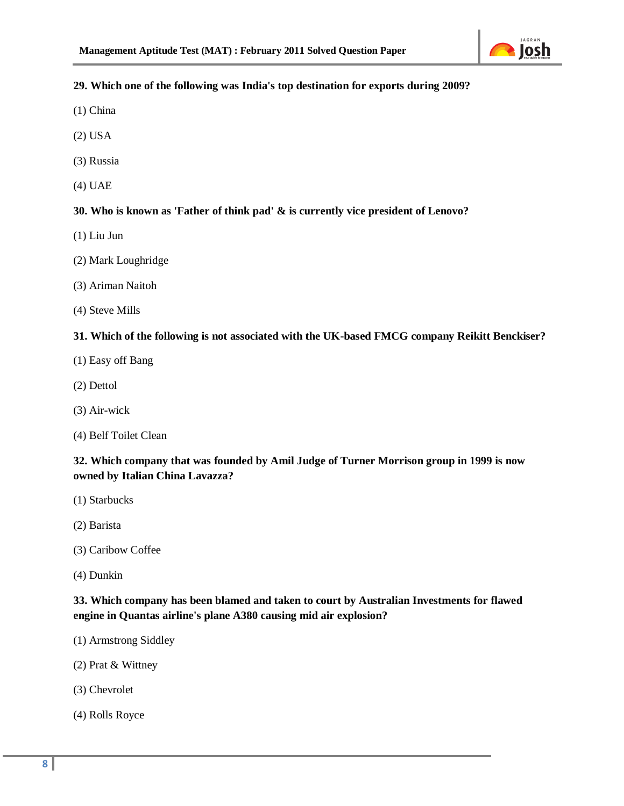

# **29. Which one of the following was India's top destination for exports during 2009?**

- (1) China
- (2) USA
- (3) Russia
- (4) UAE

# **30. Who is known as 'Father of think pad' & is currently vice president of Lenovo?**

- (1) Liu Jun
- (2) Mark Loughridge
- (3) Ariman Naitoh
- (4) Steve Mills

## **31. Which of the following is not associated with the UK-based FMCG company Reikitt Benckiser?**

- (1) Easy off Bang
- (2) Dettol
- (3) Air-wick
- (4) Belf Toilet Clean

# **32. Which company that was founded by Amil Judge of Turner Morrison group in 1999 is now owned by Italian China Lavazza?**

- (1) Starbucks
- (2) Barista
- (3) Caribow Coffee
- (4) Dunkin

# **33. Which company has been blamed and taken to court by Australian Investments for flawed engine in Quantas airline's plane A380 causing mid air explosion?**

- (1) Armstrong Siddley
- (2) Prat & Wittney
- (3) Chevrolet
- (4) Rolls Royce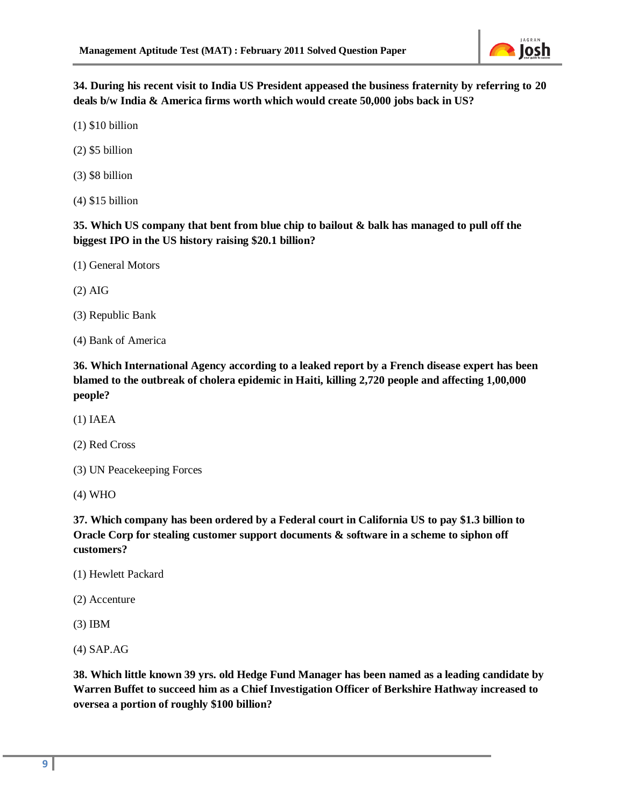

**34. During his recent visit to India US President appeased the business fraternity by referring to 20 deals b/w India & America firms worth which would create 50,000 jobs back in US?** 

(1) \$10 billion

(2) \$5 billion

(3) \$8 billion

(4) \$15 billion

**35. Which US company that bent from blue chip to bailout & balk has managed to pull off the biggest IPO in the US history raising \$20.1 billion?** 

(1) General Motors

(2) AIG

(3) Republic Bank

(4) Bank of America

**36. Which International Agency according to a leaked report by a French disease expert has been blamed to the outbreak of cholera epidemic in Haiti, killing 2,720 people and affecting 1,00,000 people?** 

(1) IAEA

(2) Red Cross

(3) UN Peacekeeping Forces

(4) WHO

**37. Which company has been ordered by a Federal court in California US to pay \$1.3 billion to Oracle Corp for stealing customer support documents & software in a scheme to siphon off customers?** 

(1) Hewlett Packard

(2) Accenture

(3) IBM

(4) SAP.AG

**38. Which little known 39 yrs. old Hedge Fund Manager has been named as a leading candidate by Warren Buffet to succeed him as a Chief Investigation Officer of Berkshire Hathway increased to oversea a portion of roughly \$100 billion?**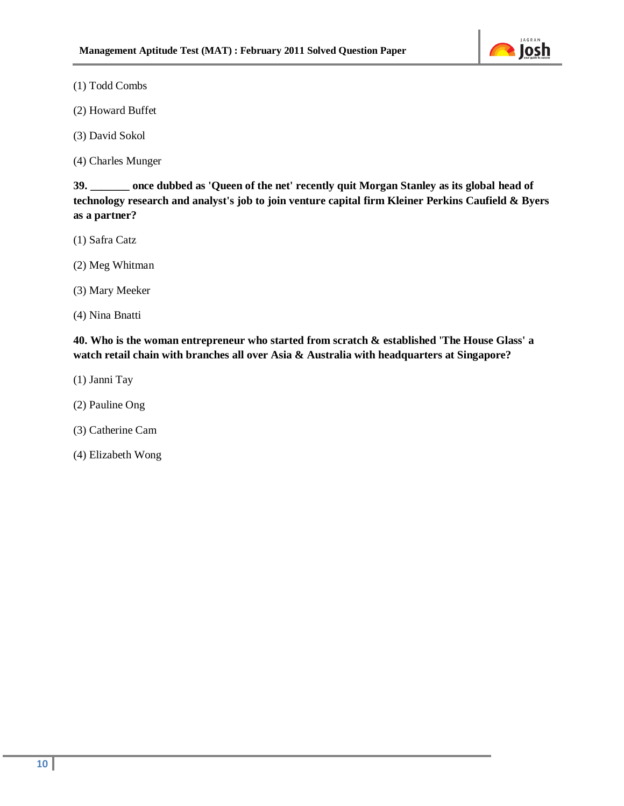

(1) Todd Combs

(2) Howard Buffet

(3) David Sokol

(4) Charles Munger

**39. \_\_\_\_\_\_\_ once dubbed as 'Queen of the net' recently quit Morgan Stanley as its global head of technology research and analyst's job to join venture capital firm Kleiner Perkins Caufield & Byers as a partner?** 

(1) Safra Catz

(2) Meg Whitman

(3) Mary Meeker

(4) Nina Bnatti

**40. Who is the woman entrepreneur who started from scratch & established 'The House Glass' a watch retail chain with branches all over Asia & Australia with headquarters at Singapore?** 

- (1) Janni Tay
- (2) Pauline Ong
- (3) Catherine Cam
- (4) Elizabeth Wong